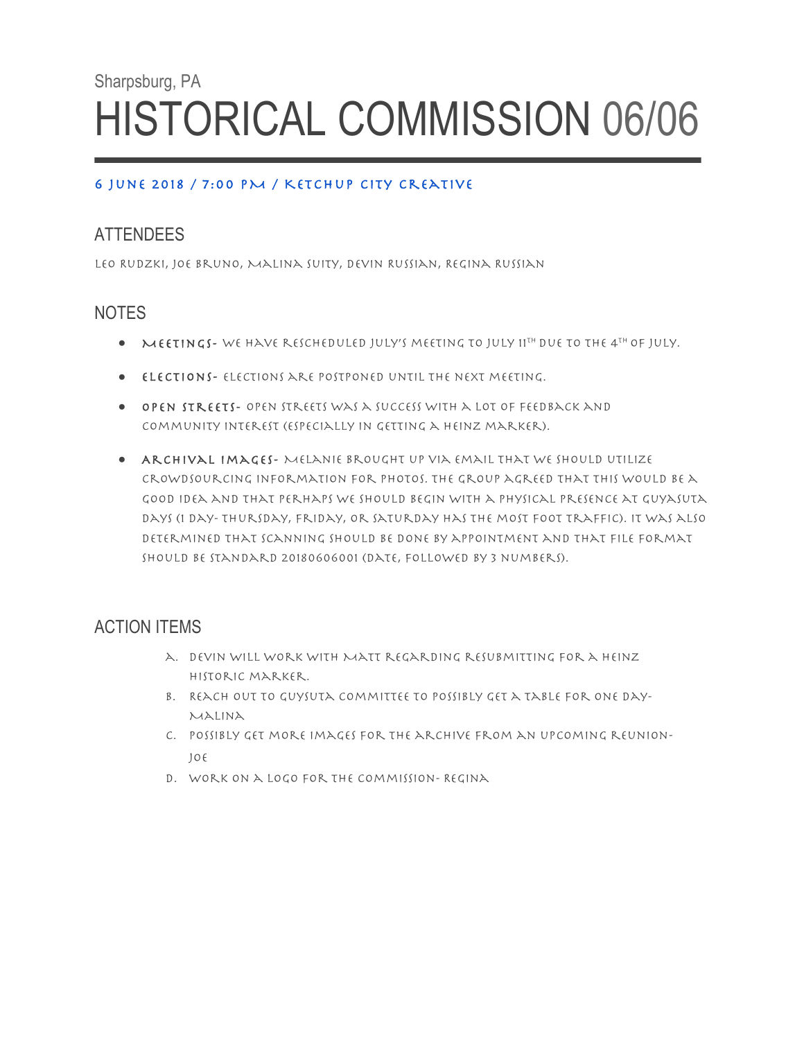# Sharpsburg, PA HISTORICAL COMMISSION 06/06

#### 6 June 2018 / 7:00 PM / Ketchup City Creative

### **ATTENDEES**

Leo Rudzki, Joe Bruno, Malina Suity, Devin Russian, Regina Russian

#### **NOTES**

- $\bullet$  Meetings-We have rescheduled July's meeting to July 11<sup>th</sup> due to the 4<sup>th</sup> of July.
- Elections- Elections are postponed until the next meeting.
- Open Streets- Open Streets was a success with a lot of feedback and community interest (especially in getting a Heinz marker).
- Archival Images- Melanie brought up via email that we should utilize crowdsourcing information for photos. The group agreed that this would be a good idea and that perhaps we should begin with a physical presence at Guyasuta Days (1 day- Thursday, Friday, or Saturday has the most foot traffic). It was also determined that scanning should be done by appointment and that file format should be standard 20180606001 (date, followed by 3 numbers).

## ACTION ITEMS

- a. Devin will work with Matt regarding resubmitting for a Heinz Historic marker.
- b. Reach out to Guysuta Committee to possibly get a table for one day-Malina
- c. Possibly get more images for the archive from an upcoming reunion-Joe
- d. Work on a logo for the Commission- Regina